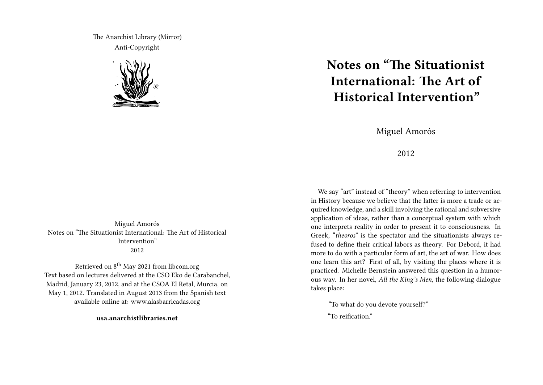The Anarchist Library (Mirror) Anti-Copyright



Miguel Amorós Notes on "The Situationist International: The Art of Historical Intervention" 2012

Retrieved on 8<sup>th</sup> May 2021 from libcom.org Text based on lectures delivered at the CSO Eko de Carabanchel, Madrid, January 23, 2012, and at the CSOA El Retal, Murcia, on May 1, 2012. Translated in August 2013 from the Spanish text available online at: www.alasbarricadas.org

**usa.anarchistlibraries.net**

## **Notes on "The Situationist International: The Art of Historical Intervention"**

Miguel Amorós

2012

We say "art" instead of "theory" when referring to intervention in History because we believe that the latter is more a trade or acquired knowledge, and a skill involving the rational and subversive application of ideas, rather than a conceptual system with which one interprets reality in order to present it to consciousness. In Greek, "*theoros*" is the spectator and the situationists always refused to define their critical labors as theory. For Debord, it had more to do with a particular form of art, the art of war. How does one learn this art? First of all, by visiting the places where it is practiced. Michelle Bernstein answered this question in a humorous way. In her novel, *All the King's Men*, the following dialogue takes place:

"To what do you devote yourself?"

"To reification."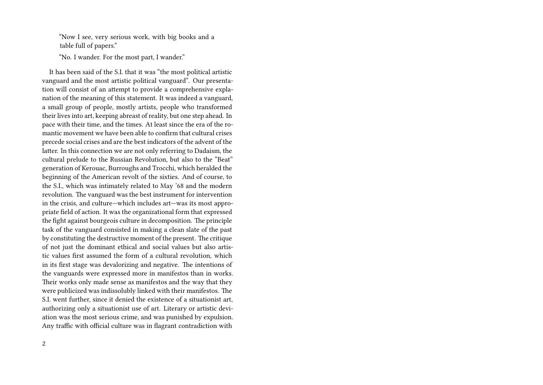"Now I see, very serious work, with big books and a table full of papers."

"No. I wander. For the most part, I wander."

It has been said of the S.I. that it was "the most political artistic vanguard and the most artistic political vanguard". Our presentation will consist of an attempt to provide a comprehensive explanation of the meaning of this statement. It was indeed a vanguard, a small group of people, mostly artists, people who transformed their lives into art, keeping abreast of reality, but one step ahead. In pace with their time, and the times. At least since the era of the romantic movement we have been able to confirm that cultural crises precede social crises and are the best indicators of the advent of the latter. In this connection we are not only referring to Dadaism, the cultural prelude to the Russian Revolution, but also to the "Beat" generation of Kerouac, Burroughs and Trocchi, which heralded the beginning of the American revolt of the sixties. And of course, to the S.I., which was intimately related to May '68 and the modern revolution. The vanguard was the best instrument for intervention in the crisis, and culture—which includes art—was its most appropriate field of action. It was the organizational form that expressed the fight against bourgeois culture in decomposition. The principle task of the vanguard consisted in making a clean slate of the past by constituting the destructive moment of the present. The critique of not just the dominant ethical and social values but also artistic values first assumed the form of a cultural revolution, which in its first stage was devalorizing and negative. The intentions of the vanguards were expressed more in manifestos than in works. Their works only made sense as manifestos and the way that they were publicized was indissolubly linked with their manifestos. The S.I. went further, since it denied the existence of a situationist art, authorizing only a situationist use of art. Literary or artistic deviation was the most serious crime, and was punished by expulsion. Any traffic with official culture was in flagrant contradiction with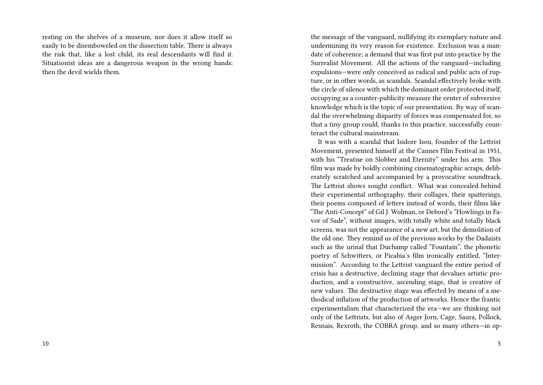resting on the shelves of a museum, nor does it allow itself so easily to be disemboweled on the dissection table. There is always the risk that, like a lost child, its real descendants will find it. Situationist ideas are a dangerous weapon in the wrong hands: then the devil wields them.

the message of the vanguard, nullifying its exemplary nature and undermining its very reason for existence. Exclusion was a mandate of coherence; a demand that was first put into practice by the Surrealist Movement. All the actions of the vanguard—including expulsions—were only conceived as radical and public acts of rupture, or in other words, as scandals. Scandal effectively broke with the circle of silence with which the dominant order protected itself, occupying as a counter-publicity measure the center of subversive knowledge which is the topic of our presentation. By way of scandal the overwhelming disparity of forces was compensated for, so that a tiny group could, thanks to this practice, successfully counteract the cultural mainstream.

It was with a scandal that Isidore Isou, founder of the Lettrist Movement, presented himself at the Cannes Film Festival in 1951, with his "Treatise on Slobber and Eternity" under his arm. This film was made by boldly combining cinematographic scraps, deliberately scratched and accompanied by a provocative soundtrack. The Lettrist shows sought conflict. What was concealed behind their experimental orthography, their collages, their spatterings, their poems composed of letters instead of words, their films like "The Anti-Concept" of Gil J. Wolman, or Debord's "Howlings in Favor of Sade", without images, with totally white and totally black screens, was not the appearance of a new art, but the demolition of the old one. They remind us of the previous works by the Dadaists such as the urinal that Duchamp called "Fountain", the phonetic poetry of Schwitters, or Picabia's film ironically entitled, "Intermission". According to the Lettrist vanguard the entire period of crisis has a destructive, declining stage that devalues artistic production, and a constructive, ascending stage, that is creative of new values. The destructive stage was effected by means of a methodical inflation of the production of artworks. Hence the frantic experimentalism that characterized the era—we are thinking not only of the Lettrists, but also of Asger Jorn, Cage, Saura, Pollock, Resnais, Rexroth, the COBRA group, and so many others—in op-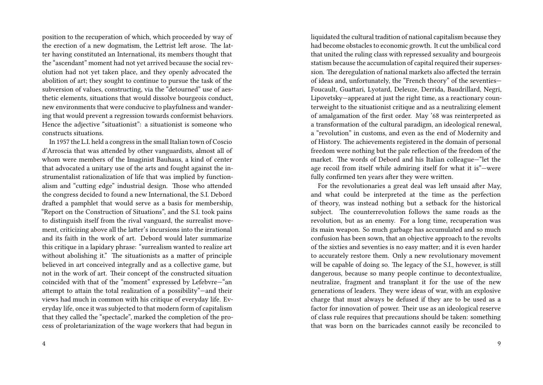position to the recuperation of which, which proceeded by way of the erection of a new dogmatism, the Lettrist left arose. The latter having constituted an International, its members thought that the "ascendant" moment had not yet arrived because the social revolution had not yet taken place, and they openly advocated the abolition of art; they sought to continue to pursue the task of the subversion of values, constructing, via the "detourned" use of aesthetic elements, situations that would dissolve bourgeois conduct, new environments that were conducive to playfulness and wandering that would prevent a regression towards conformist behaviors. Hence the adjective "situationist": a situationist is someone who constructs situations.

In 1957 the L.I. held a congress in the small Italian town of Coscio d'Arroscia that was attended by other vanguardists, almost all of whom were members of the Imaginist Bauhaus, a kind of center that advocated a unitary use of the arts and fought against the instrumentalist rationalization of life that was implied by functionalism and "cutting edge" industrial design. Those who attended the congress decided to found a new International, the S.I. Debord drafted a pamphlet that would serve as a basis for membership, "Report on the Construction of Situations", and the S.I. took pains to distinguish itself from the rival vanguard, the surrealist movement, criticizing above all the latter's incursions into the irrational and its faith in the work of art. Debord would later summarize this critique in a lapidary phrase: "surrealism wanted to realize art without abolishing it." The situationists as a matter of principle believed in art conceived integrally and as a collective game, but not in the work of art. Their concept of the constructed situation coincided with that of the "moment" expressed by Lefebvre—"an attempt to attain the total realization of a possibility"—and their views had much in common with his critique of everyday life. Everyday life, once it was subjected to that modern form of capitalism that they called the "spectacle", marked the completion of the process of proletarianization of the wage workers that had begun in

4

liquidated the cultural tradition of national capitalism because they had become obstacles to economic growth. It cut the umbilical cord that united the ruling class with repressed sexuality and bourgeois statism because the accumulation of capital required their supersession. The deregulation of national markets also affected the terrain of ideas and, unfortunately, the "French theory" of the seventies— Foucault, Guattari, Lyotard, Deleuze, Derrida, Baudrillard, Negri, Lipovetsky—appeared at just the right time, as a reactionary counterweight to the situationist critique and as a neutralizing element of amalgamation of the first order. May '68 was reinterpreted as a transformation of the cultural paradigm, an ideological renewal, a "revolution" in customs, and even as the end of Modernity and of History. The achievements registered in the domain of personal freedom were nothing but the pale reflection of the freedom of the market. The words of Debord and his Italian colleague—"let the age recoil from itself while admiring itself for what it is"—were fully confirmed ten years after they were written.

For the revolutionaries a great deal was left unsaid after May, and what could be interpreted at the time as the perfection of theory, was instead nothing but a setback for the historical subject. The counterrevolution follows the same roads as the revolution, but as an enemy. For a long time, recuperation was its main weapon. So much garbage has accumulated and so much confusion has been sown, that an objective approach to the revolts of the sixties and seventies is no easy matter; and it is even harder to accurately restore them. Only a new revolutionary movement will be capable of doing so. The legacy of the S.I., however, is still dangerous, because so many people continue to decontextualize, neutralize, fragment and transplant it for the use of the new generations of leaders. They were ideas of war, with an explosive charge that must always be defused if they are to be used as a factor for innovation of power. Their use as an ideological reserve of class rule requires that precautions should be taken: something that was born on the barricades cannot easily be reconciled to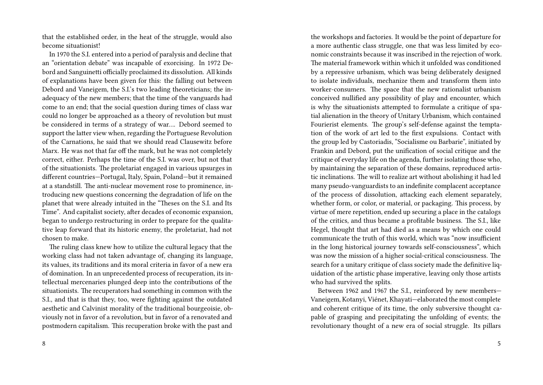that the established order, in the heat of the struggle, would also become situationist!

In 1970 the S.I. entered into a period of paralysis and decline that an "orientation debate" was incapable of exorcising. In 1972 Debord and Sanguinetti officially proclaimed its dissolution. All kinds of explanations have been given for this: the falling out between Debord and Vaneigem, the S.I.'s two leading theoreticians; the inadequacy of the new members; that the time of the vanguards had come to an end; that the social question during times of class war could no longer be approached as a theory of revolution but must be considered in terms of a strategy of war…. Debord seemed to support the latter view when, regarding the Portuguese Revolution of the Carnations, he said that we should read Clausewitz before Marx. He was not that far off the mark, but he was not completely correct, either. Perhaps the time of the S.I. was over, but not that of the situationists. The proletariat engaged in various upsurges in different countries—Portugal, Italy, Spain, Poland—but it remained at a standstill. The anti-nuclear movement rose to prominence, introducing new questions concerning the degradation of life on the planet that were already intuited in the "Theses on the S.I. and Its Time". And capitalist society, after decades of economic expansion, began to undergo restructuring in order to prepare for the qualitative leap forward that its historic enemy, the proletariat, had not chosen to make.

The ruling class knew how to utilize the cultural legacy that the working class had not taken advantage of, changing its language, its values, its traditions and its moral criteria in favor of a new era of domination. In an unprecedented process of recuperation, its intellectual mercenaries plunged deep into the contributions of the situationists. The recuperators had something in common with the S.I., and that is that they, too, were fighting against the outdated aesthetic and Calvinist morality of the traditional bourgeoisie, obviously not in favor of a revolution, but in favor of a renovated and postmodern capitalism. This recuperation broke with the past and

the workshops and factories. It would be the point of departure for a more authentic class struggle, one that was less limited by economic constraints because it was inscribed in the rejection of work. The material framework within which it unfolded was conditioned by a repressive urbanism, which was being deliberately designed to isolate individuals, mechanize them and transform them into worker-consumers. The space that the new rationalist urbanism conceived nullified any possibility of play and encounter, which is why the situationists attempted to formulate a critique of spatial alienation in the theory of Unitary Urbanism, which contained Fourierist elements. The group's self-defense against the temptation of the work of art led to the first expulsions. Contact with the group led by Castoriadis, "Socialisme ou Barbarie", initiated by Frankin and Debord, put the unification of social critique and the critique of everyday life on the agenda, further isolating those who, by maintaining the separation of these domains, reproduced artistic inclinations. The will to realize art without abolishing it had led many pseudo-vanguardists to an indefinite complacent acceptance of the process of dissolution, attacking each element separately, whether form, or color, or material, or packaging. This process, by virtue of mere repetition, ended up securing a place in the catalogs of the critics, and thus became a profitable business. The S.I., like Hegel, thought that art had died as a means by which one could communicate the truth of this world, which was "now insufficient in the long historical journey towards self-consciousness", which was now the mission of a higher social-critical consciousness. The search for a unitary critique of class society made the definitive liquidation of the artistic phase imperative, leaving only those artists who had survived the splits.

Between 1962 and 1967 the S.I., reinforced by new members— Vaneigem, Kotanyi, Viénet, Khayati—elaborated the most complete and coherent critique of its time, the only subversive thought capable of grasping and precipitating the unfolding of events; the revolutionary thought of a new era of social struggle. Its pillars